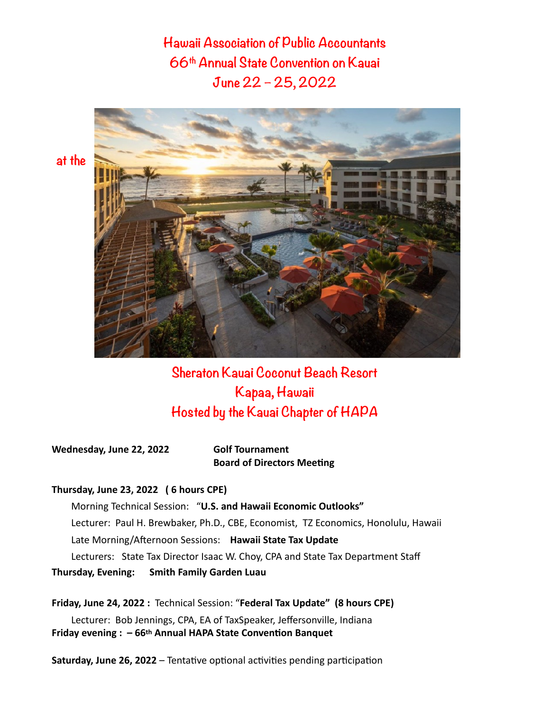**Hawaii Association of Public Accountants 66th Annual State Convention on Kauai June 22 – 25, 2022**



# **Sheraton Kauai Coconut Beach Resort Kapaa, Hawaii Hosted by the Kauai Chapter of HAPA**

**Wednesday, June 22, 2022 Golf Tournament**

**Board of Directors Meeting**

#### **Thursday, June 23, 2022 ( 6 hours CPE)**

Morning Technical Session: "U.S. and Hawaii Economic Outlooks" Lecturer: Paul H. Brewbaker, Ph.D., CBE, Economist, TZ Economics, Honolulu, Hawaii Late Morning/Afternoon Sessions: Hawaii State Tax Update Lecturers: State Tax Director Isaac W. Choy, CPA and State Tax Department Staff **Thursday, Evening: Smith Family Garden Luau**

**Friday, June 24, 2022 :** Technical Session: "**Federal Tax Update" (8 hours CPE)** Lecturer: Bob Jennings, CPA, EA of TaxSpeaker, Jeffersonville, Indiana **Friday evening : – 66th Annual HAPA State Convention Banquet** 

**Saturday, June 26, 2022** – Tentative optional activities pending participation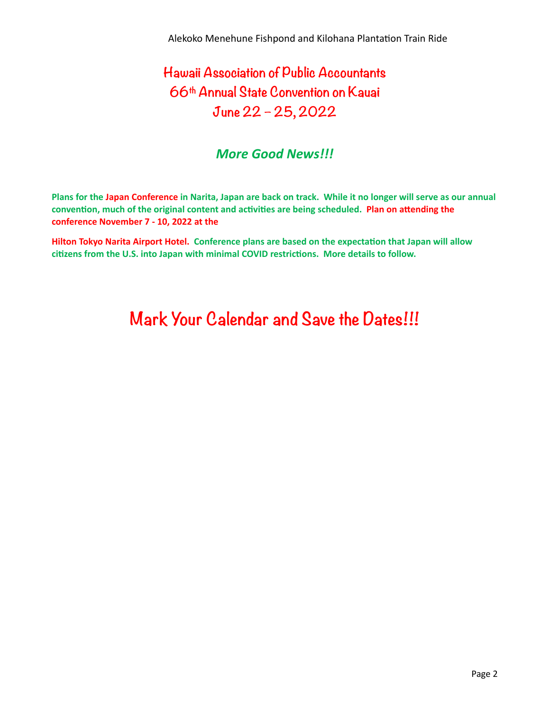# **Hawaii Association of Public Accountants 66th Annual State Convention on Kauai June 22 – 25, 2022**

# *More Good News!!!*

**Plans for the Japan Conference in Narita, Japan are back on track. While it no longer will serve as our annual convention, much of the original content and activities are being scheduled. Plan on attending the conference November 7 - 10, 2022 at the** 

**Hilton Tokyo Narita Airport Hotel. Conference plans are based on the expectation that Japan will allow citizens from the U.S. into Japan with minimal COVID restrictions. More details to follow.**

# **Mark Your Calendar and Save the Dates!!!**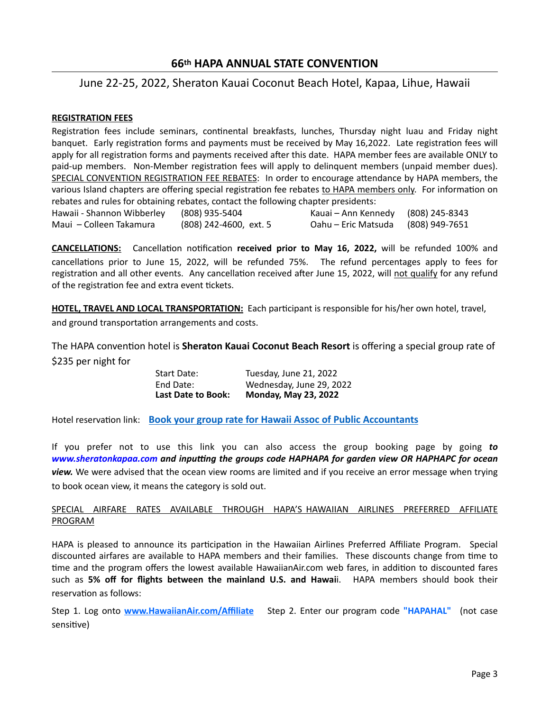## **66th HAPA ANNUAL STATE CONVENTION**

## June 22-25, 2022, Sheraton Kauai Coconut Beach Hotel, Kapaa, Lihue, Hawaii

#### **REGISTRATION FEES**

Registration fees include seminars, continental breakfasts, lunches, Thursday night luau and Friday night banquet. Early registration forms and payments must be received by May 16,2022. Late registration fees will apply for all registration forms and payments received after this date. HAPA member fees are available ONLY to paid-up members. Non-Member registration fees will apply to delinquent members (unpaid member dues). SPECIAL CONVENTION REGISTRATION FEE REBATES: In order to encourage attendance by HAPA members, the various Island chapters are offering special registration fee rebates to HAPA members only. For information on rebates and rules for obtaining rebates, contact the following chapter presidents:

| Hawaii - Shannon Wibberley | (808) 935-5404         | Kauai – Ann Kennedy (808) 245-8343 |                |
|----------------------------|------------------------|------------------------------------|----------------|
| Maui – Colleen Takamura    | (808) 242-4600, ext. 5 | Oahu – Eric Matsuda                | (808) 949-7651 |

**CANCELLATIONS:** Cancellation notification **received prior to May 16, 2022,** will be refunded 100% and cancellations prior to June 15, 2022, will be refunded 75%. The refund percentages apply to fees for registration and all other events. Any cancellation received after June 15, 2022, will not qualify for any refund of the registration fee and extra event tickets.

HOTEL, TRAVEL AND LOCAL TRANSPORTATION: Each participant is responsible for his/her own hotel, travel,

and ground transportation arrangements and costs.

The HAPA convention hotel is **Sheraton Kauai Coconut Beach Resort** is offering a special group rate of \$235 per night for

> Start Date: Tuesday, June 21, 2022 End Date: Wednesday, June 29, 2022 **Last Date to Book: Monday, May 23, 2022**

Hotel reservation link: **[Book your group rate for Hawaii Assoc of Public Accountants](https://www.marriott.com/events/start.mi?id=1646258342223&key=GRP)** 

If you prefer not to use this link you can also access the group booking page by going to *[www.sheratonkapaa.com](http://www.sheratonkapaa.com) and inputting the groups code HAPHAPA for garden view OR HAPHAPC for ocean view.* We were advised that the ocean view rooms are limited and if you receive an error message when trying to book ocean view, it means the category is sold out.

#### SPECIAL AIRFARE RATES AVAILABLE THROUGH HAPA'S HAWAIIAN AIRLINES PREFERRED AFFILIATE PROGRAM

HAPA is pleased to announce its participation in the Hawaiian Airlines Preferred Affiliate Program. Special discounted airfares are available to HAPA members and their families. These discounts change from time to time and the program offers the lowest available HawaiianAir.com web fares, in addition to discounted fares such as 5% off for flights between the mainland U.S. and Hawaii. HAPA members should book their reservation as follows:

Step 1. Log onto [www.HawaiianAir.com/Affiliate](http://www.hawaiianair.com/Affiliate) Step 2. Enter our program code "HAPAHAL" (not case sensitive)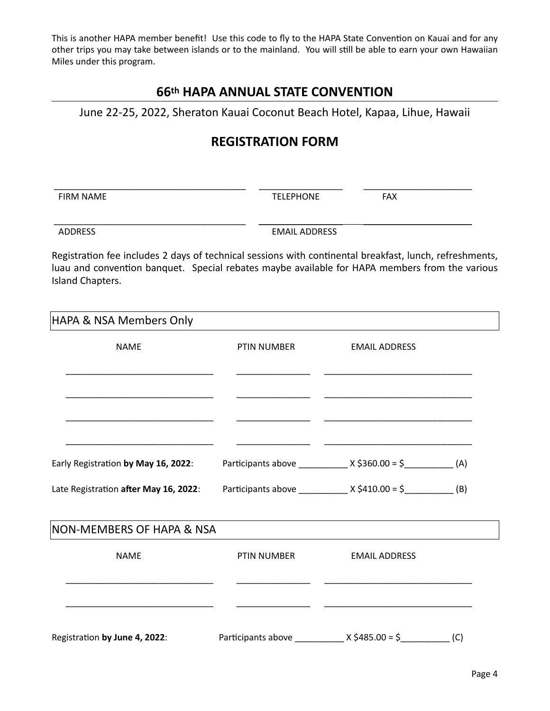This is another HAPA member benefit! Use this code to fly to the HAPA State Convention on Kauai and for any other trips you may take between islands or to the mainland. You will still be able to earn your own Hawaiian Miles under this program.

# **66th HAPA ANNUAL STATE CONVENTION**

June 22-25, 2022, Sheraton Kauai Coconut Beach Hotel, Kapaa, Lihue, Hawaii

# **REGISTRATION FORM**

 FIRM NAME TELEPHONE FAX

 \_\_\_\_\_\_\_\_\_\_\_\_\_\_\_\_\_\_\_\_\_\_\_\_\_\_\_\_\_\_\_\_\_\_\_\_\_\_\_ \_\_\_\_\_\_\_\_\_\_\_\_\_\_\_\_\_ \_\_\_\_\_\_\_\_\_\_\_\_\_\_\_\_\_\_\_\_\_\_

ADDRESS EMAIL ADDRESS

Registration fee includes 2 days of technical sessions with continental breakfast, lunch, refreshments, luau and convention banquet. Special rebates maybe available for HAPA members from the various Island Chapters.

 \_\_\_\_\_\_\_\_\_\_\_\_\_\_\_\_\_\_\_\_\_\_\_\_\_\_\_\_\_\_\_\_\_\_\_\_\_\_\_ \_\_\_\_\_\_\_\_\_\_\_\_\_\_\_\_\_ \_\_\_\_\_\_\_\_\_\_\_\_\_\_\_\_\_\_\_\_\_\_

| HAPA & NSA Members Only               |             |                                                                     |  |
|---------------------------------------|-------------|---------------------------------------------------------------------|--|
| <b>NAME</b>                           | PTIN NUMBER | <b>EMAIL ADDRESS</b>                                                |  |
|                                       |             |                                                                     |  |
|                                       |             |                                                                     |  |
| Early Registration by May 16, 2022:   |             | Participants above _______________ X \$360.00 = \$_____________ (A) |  |
| Late Registration after May 16, 2022: |             | Participants above ______________ X \$410.00 = \$____________ (B)   |  |
| NON-MEMBERS OF HAPA & NSA             |             |                                                                     |  |
| <b>NAME</b>                           | PTIN NUMBER | <b>EMAIL ADDRESS</b>                                                |  |
|                                       |             |                                                                     |  |
| Registration by June 4, 2022:         |             |                                                                     |  |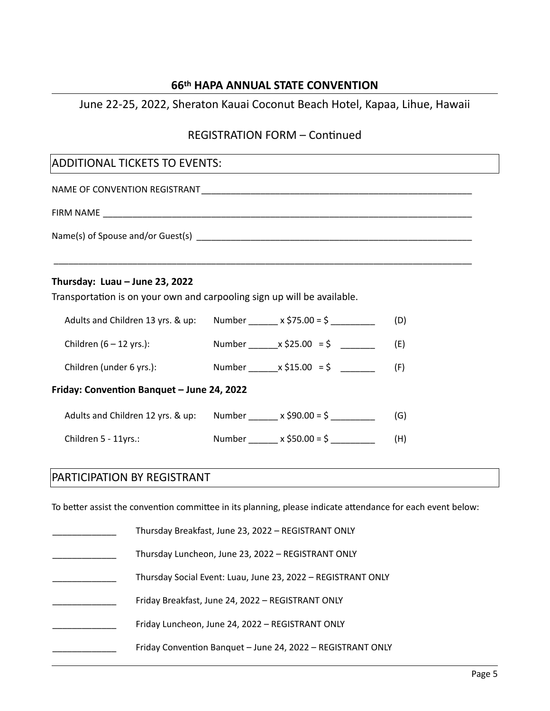## **66th HAPA ANNUAL STATE CONVENTION**

# June 22-25, 2022, Sheraton Kauai Coconut Beach Hotel, Kapaa, Lihue, Hawaii

# **REGISTRATION FORM - Continued**

\_\_\_\_\_\_\_\_\_\_\_\_\_\_\_\_\_\_\_\_\_\_\_\_\_\_\_\_\_\_\_\_\_\_\_\_\_\_\_\_\_\_\_\_\_\_\_\_\_\_\_\_\_\_\_\_\_\_\_\_\_\_\_\_\_\_\_\_\_\_\_\_\_\_\_\_\_\_\_\_\_\_\_\_\_

## **ADDITIONAL TICKETS TO EVENTS:**

NAME OF CONVENTION REGISTRANT \_\_\_\_\_\_\_\_\_\_\_\_\_\_\_\_\_\_\_\_\_\_\_\_\_\_\_\_\_\_\_\_\_\_\_\_\_\_\_\_\_\_\_\_\_\_\_\_\_\_\_\_\_\_\_

FIRM NAME \_\_\_\_\_\_\_\_\_\_\_\_\_\_\_\_\_\_\_\_\_\_\_\_\_\_\_\_\_\_\_\_\_\_\_\_\_\_\_\_\_\_\_\_\_\_\_\_\_\_\_\_\_\_\_\_\_\_\_\_\_\_\_\_\_\_\_\_\_\_\_\_\_\_\_

Name(s) of Spouse and/or Guest(s) and the state of the state of the state of the state of the state of the state of the state of the state of the state of the state of the state of the state of the state of the state of th

### **Thursday: Luau – June 23, 2022**

Transportation is on your own and carpooling sign up will be available.

| Adults and Children 13 yrs. & up:          | Number $x \xi$ 75.00 = $\xi$           | (D) |
|--------------------------------------------|----------------------------------------|-----|
| Children $(6 - 12$ yrs.):                  | Number $x \, \xi$ 25.00 = $\xi$        | (E) |
| Children (under 6 yrs.):                   | Number $x \, \xi$ 15.00 = \$           | (F) |
| Friday: Convention Banquet - June 24, 2022 |                                        |     |
| Adults and Children 12 yrs. & up:          | Number $x \le 90.00 = 5$               | (G) |
| Children 5 - 11yrs.:                       | Number _______ x \$50.00 = \$ ________ | (H) |

# PARTICIPATION BY REGISTRANT

To better assist the convention committee in its planning, please indicate attendance for each event below:

| Thursday Breakfast, June 23, 2022 - REGISTRANT ONLY          |
|--------------------------------------------------------------|
| Thursday Luncheon, June 23, 2022 - REGISTRANT ONLY           |
| Thursday Social Event: Luau, June 23, 2022 - REGISTRANT ONLY |
| Friday Breakfast, June 24, 2022 - REGISTRANT ONLY            |
| Friday Luncheon, June 24, 2022 - REGISTRANT ONLY             |
| Friday Convention Banquet - June 24, 2022 - REGISTRANT ONLY  |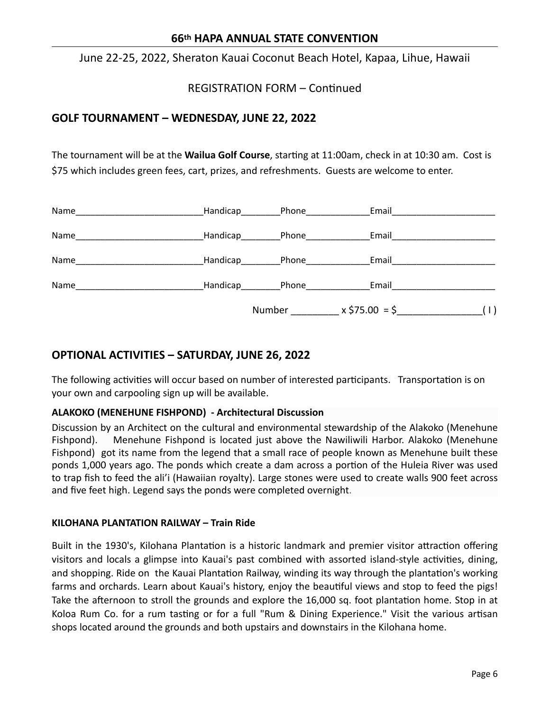### **66th HAPA ANNUAL STATE CONVENTION**

June 22-25, 2022, Sheraton Kauai Coconut Beach Hotel, Kapaa, Lihue, Hawaii

**REGISTRATION FORM - Continued** 

## **GOLF TOURNAMENT – WEDNESDAY, JUNE 22, 2022**

The tournament will be at the **Wailua Golf Course**, starting at 11:00am, check in at 10:30 am. Cost is \$75 which includes green fees, cart, prizes, and refreshments. Guests are welcome to enter.

|                                                        |                  | Number               | $x$ \$75.00 = \$ | (1) |
|--------------------------------------------------------|------------------|----------------------|------------------|-----|
| Name                                                   | Handicap         | Phone_______________ | Email            |     |
| Name                                                   | Handicap___      | Phone___________     | Email            |     |
| Name                                                   | Handicap_______  | Phone_________       | Email            |     |
| Name<br><u> 1980 - Jan Barbara Barbara, manazarta </u> | Handicap________ | Phone_______________ | Email            |     |

# **OPTIONAL ACTIVITIES – SATURDAY, JUNE 26, 2022**

The following activities will occur based on number of interested participants. Transportation is on your own and carpooling sign up will be available.

### **ALAKOKO (MENEHUNE FISHPOND) - Architectural Discussion**

Discussion by an Architect on the cultural and environmental stewardship of the Alakoko (Menehune Fishpond). Menehune Fishpond is located just above the Nawiliwili Harbor. Alakoko (Menehune Fishpond) got its name from the legend that a small race of people known as Menehune built these ponds 1,000 years ago. The ponds which create a dam across a portion of the Huleia River was used to trap fish to feed the ali'i (Hawaiian royalty). Large stones were used to create walls 900 feet across and five feet high. Legend says the ponds were completed overnight.

#### **KILOHANA PLANTATION RAILWAY – Train Ride**

Built in the 1930's, Kilohana Plantation is a historic landmark and premier visitor attraction offering visitors and locals a glimpse into Kauai's past combined with assorted island-style activities, dining, and shopping. Ride on the Kauai Plantation Railway, winding its way through the plantation's working farms and orchards. Learn about Kauai's history, enjoy the beautiful views and stop to feed the pigs! Take the afternoon to stroll the grounds and explore the 16,000 sq. foot plantation home. Stop in at Koloa Rum Co. for a rum tasting or for a full "Rum & Dining Experience." Visit the various artisan shops located around the grounds and both upstairs and downstairs in the Kilohana home.